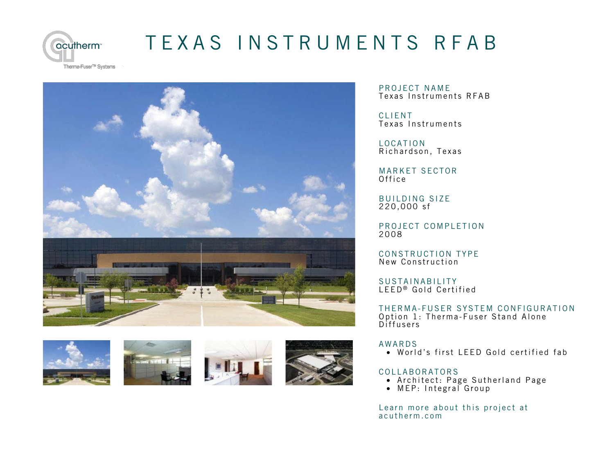

## [TEXAS INSTRUMENTS RFAB](http://acutherm.com/project/texas-instruments-rfab/)

Therma-Fuser<sup>™</sup> Systems









PROJECT NAME Texas Instruments RFAB

CLIENT Texas Instruments

LOCATION Richardson, Texas

MARKET SECTOR Office

BUILDING SIZE 220,000 sf

PROJECT COMPLETION 2008

CONSTRUCTION TYPE New Construction

SUSTAINABILITY LEED ® Gold Certified

THERMA-FUSER SYSTEM CONFIGURATION Option 1: Therma-Fuser Stand Alone Diffusers

## AWARDS

• World's first LEED Gold certified fab

## COLLABORATORS

- Architect: Page Sutherland Page
- MEP: Integral Group

Lea[rn more about this project at](http://acutherm.com/project/texas-instruments-rfab/) a c u therm.com